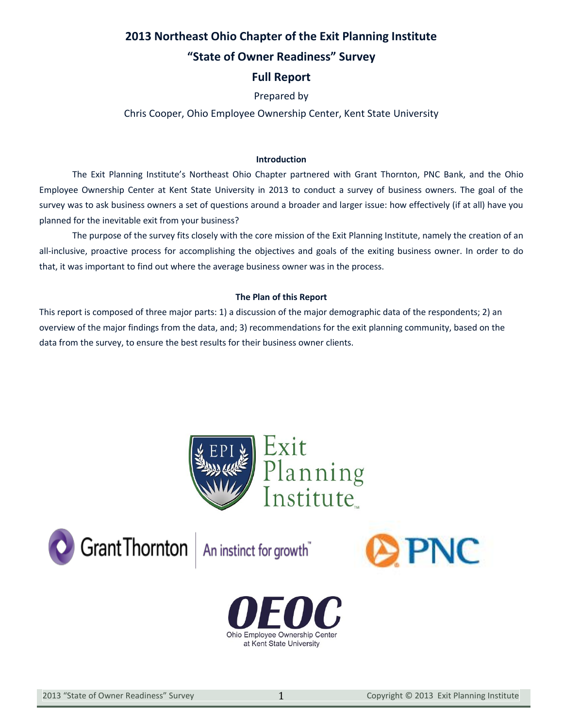## **2013 Northeast Ohio Chapter of the Exit Planning Institute**

## **"State of Owner Readiness" Survey**

## **Full Report**

## Prepared by

## Chris Cooper, Ohio Employee Ownership Center, Kent State University

### **Introduction**

The Exit Planning Institute's Northeast Ohio Chapter partnered with Grant Thornton, PNC Bank, and the Ohio Employee Ownership Center at Kent State University in 2013 to conduct a survey of business owners. The goal of the survey was to ask business owners a set of questions around a broader and larger issue: how effectively (if at all) have you planned for the inevitable exit from your business?

The purpose of the survey fits closely with the core mission of the Exit Planning Institute, namely the creation of an all-inclusive, proactive process for accomplishing the objectives and goals of the exiting business owner. In order to do that, it was important to find out where the average business owner was in the process.

### **The Plan of this Report**

This report is composed of three major parts: 1) a discussion of the major demographic data of the respondents; 2) an overview of the major findings from the data, and; 3) recommendations for the exit planning community, based on the data from the survey, to ensure the best results for their business owner clients.



Grant Thornton An instinct for growth"



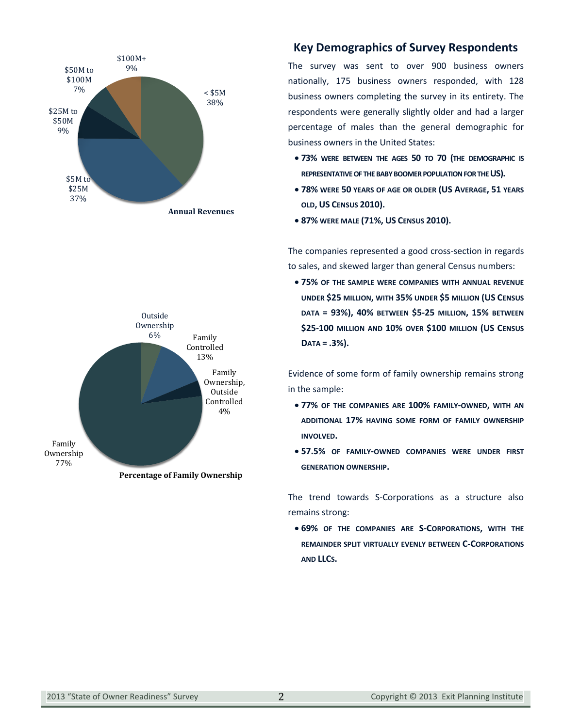



**Percentage of Family Ownership**

## **Key Demographics of Survey Respondents**

The survey was sent to over 900 business owners nationally, 175 business owners responded, with 128 business owners completing the survey in its entirety. The respondents were generally slightly older and had a larger percentage of males than the general demographic for business owners in the United States:

- x **73% WERE BETWEEN THE AGES 50 TO 70 (THE DEMOGRAPHIC IS REPRESENTATIVE OF THE BABY BOOMER POPULATION FOR THE US).**
- x **78% WERE 50 YEARS OF AGE OR OLDER (US AVERAGE, 51 YEARS OLD, US CENSUS 2010).**
- x **87% WERE MALE (71%, US CENSUS 2010).**

The companies represented a good cross-section in regards to sales, and skewed larger than general Census numbers:

x **75% OF THE SAMPLE WERE COMPANIES WITH ANNUAL REVENUE UNDER \$25 MILLION, WITH 35% UNDER \$5 MILLION (US CENSUS DATA = 93%), 40% BETWEEN \$5-25 MILLION, 15% BETWEEN \$25-100 MILLION AND 10% OVER \$100 MILLION (US CENSUS DATA = .3%).**

Evidence of some form of family ownership remains strong in the sample:

- x **77% OF THE COMPANIES ARE 100% FAMILY-OWNED, WITH AN ADDITIONAL 17% HAVING SOME FORM OF FAMILY OWNERSHIP INVOLVED.**
- x **57.5% OF FAMILY-OWNED COMPANIES WERE UNDER FIRST GENERATION OWNERSHIP.**

The trend towards S-Corporations as a structure also remains strong:

x **69% OF THE COMPANIES ARE S-CORPORATIONS, WITH THE REMAINDER SPLIT VIRTUALLY EVENLY BETWEEN C-CORPORATIONS AND LLCS.**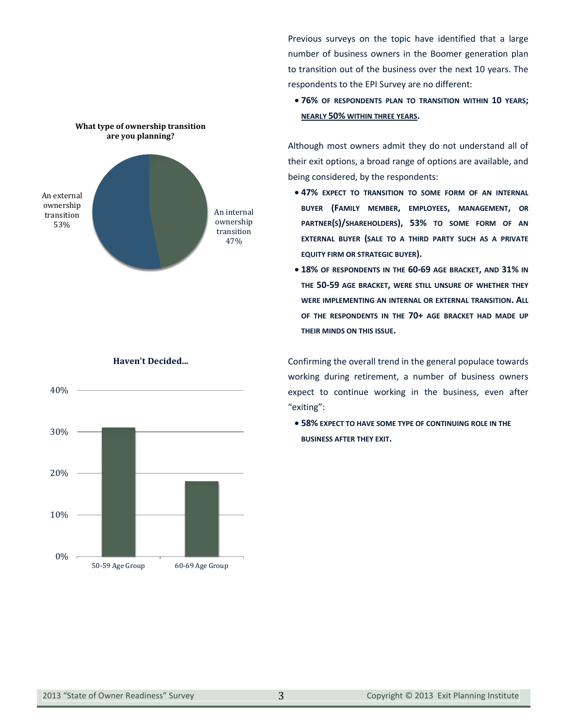

Previous surveys on the topic have identified that a large number of business owners in the Boomer generation plan to transition out of the business over the next 10 years. The respondents to the EPI Survey are no different:

x **76% OF RESPONDENTS PLAN TO TRANSITION WITHIN 10 YEARS; NEARLY 50% WITHIN THREE YEARS.**

Although most owners admit they do not understand all of their exit options, a broad range of options are available, and being considered, by the respondents:

- x **47% EXPECT TO TRANSITION TO SOME FORM OF AN INTERNAL BUYER (FAMILY MEMBER, EMPLOYEES, MANAGEMENT, OR PARTNER(S)/SHAREHOLDERS), 53% TO SOME FORM OF AN EXTERNAL BUYER (SALE TO A THIRD PARTY SUCH AS A PRIVATE EQUITY FIRM OR STRATEGIC BUYER).**
- x **18% OF RESPONDENTS IN THE 60-69 AGE BRACKET, AND 31% IN THE 50-59 AGE BRACKET, WERE STILL UNSURE OF WHETHER THEY WERE IMPLEMENTING AN INTERNAL OR EXTERNAL TRANSITION. ALL OF THE RESPONDENTS IN THE 70+ AGE BRACKET HAD MADE UP THEIR MINDS ON THIS ISSUE.**

Confirming the overall trend in the general populace towards working during retirement, a number of business owners expect to continue working in the business, even after "exiting":

x **58% EXPECT TO HAVE SOME TYPE OF CONTINUING ROLE IN THE BUSINESS AFTER THEY EXIT.**



#### **Haven't Decided...**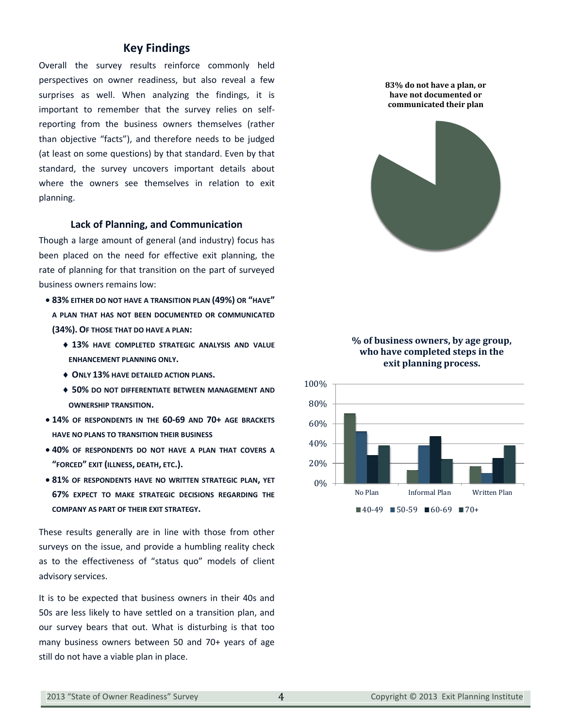### **Key Findings**

Overall the survey results reinforce commonly held perspectives on owner readiness, but also reveal a few surprises as well. When analyzing the findings, it is important to remember that the survey relies on selfreporting from the business owners themselves (rather than objective "facts"), and therefore needs to be judged (at least on some questions) by that standard. Even by that standard, the survey uncovers important details about where the owners see themselves in relation to exit planning.

#### **Lack of Planning, and Communication**

Though a large amount of general (and industry) focus has been placed on the need for effective exit planning, the rate of planning for that transition on the part of surveyed business owners remains low:

- x **83% EITHER DO NOT HAVE A TRANSITION PLAN (49%) OR "HAVE" A PLAN THAT HAS NOT BEEN DOCUMENTED OR COMMUNICATED (34%). OF THOSE THAT DO HAVE A PLAN:**
	- $\div$  13% have completed strategic analysis and value **ENHANCEMENT PLANNING ONLY.**
	- i **ONLY 13% HAVE DETAILED ACTION PLANS.**
	- i **50% DO NOT DIFFERENTIATE BETWEEN MANAGEMENT AND OWNERSHIP TRANSITION.**
- x **14% OF RESPONDENTS IN THE 60-69 AND 70+ AGE BRACKETS HAVE NO PLANS TO TRANSITION THEIR BUSINESS**
- x **40% OF RESPONDENTS DO NOT HAVE A PLAN THAT COVERS A "FORCED" EXIT (ILLNESS, DEATH, ETC.).**
- x **81% OF RESPONDENTS HAVE NO WRITTEN STRATEGIC PLAN, YET 67% EXPECT TO MAKE STRATEGIC DECISIONS REGARDING THE COMPANY AS PART OF THEIR EXIT STRATEGY.**

These results generally are in line with those from other surveys on the issue, and provide a humbling reality check as to the effectiveness of "status quo" models of client advisory services.

It is to be expected that business owners in their 40s and 50s are less likely to have settled on a transition plan, and our survey bears that out. What is disturbing is that too many business owners between 50 and 70+ years of age still do not have a viable plan in place.



### **% of business owners, by age group, who have completed steps in the exit planning process.**

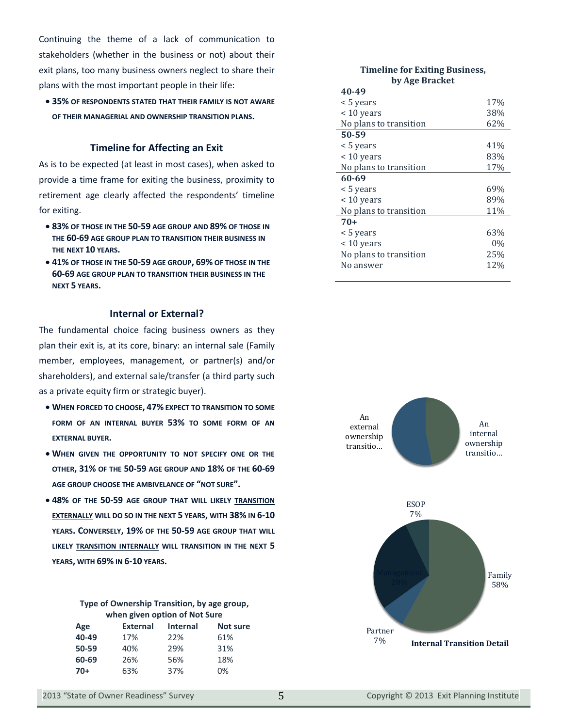Continuing the theme of a lack of communication to stakeholders (whether in the business or not) about their exit plans, too many business owners neglect to share their plans with the most important people in their life:

x **35% OF RESPONDENTS STATED THAT THEIR FAMILY IS NOT AWARE OF THEIR MANAGERIAL AND OWNERSHIP TRANSITION PLANS.**

#### **Timeline for Affecting an Exit**

As is to be expected (at least in most cases), when asked to provide a time frame for exiting the business, proximity to retirement age clearly affected the respondents' timeline for exiting.

- x **83% OF THOSE IN THE 50-59 AGE GROUP AND 89% OF THOSE IN THE 60-69 AGE GROUP PLAN TO TRANSITION THEIR BUSINESS IN THE NEXT 10 YEARS.**
- x **41% OF THOSE IN THE 50-59 AGE GROUP, 69% OF THOSE IN THE 60-69 AGE GROUP PLAN TO TRANSITION THEIR BUSINESS IN THE NEXT 5 YEARS.**

### **Internal or External?**

The fundamental choice facing business owners as they plan their exit is, at its core, binary: an internal sale (Family member, employees, management, or partner(s) and/or shareholders), and external sale/transfer (a third party such as a private equity firm or strategic buyer).

- x **WHEN FORCED TO CHOOSE, 47% EXPECT TO TRANSITION TO SOME FORM OF AN INTERNAL BUYER 53% TO SOME FORM OF AN EXTERNAL BUYER.**
- x **WHEN GIVEN THE OPPORTUNITY TO NOT SPECIFY ONE OR THE OTHER, 31% OF THE 50-59 AGE GROUP AND 18% OF THE 60-69 AGE GROUP CHOOSE THE AMBIVELANCE OF "NOT SURE".**
- x **48% OF THE 50-59 AGE GROUP THAT WILL LIKELY TRANSITION EXTERNALLY WILL DO SO IN THE NEXT 5 YEARS, WITH 38% IN 6-10 YEARS. CONVERSELY, 19% OF THE 50-59 AGE GROUP THAT WILL LIKELY TRANSITION INTERNALLY WILL TRANSITION IN THE NEXT 5 YEARS, WITH 69% IN 6-10 YEARS.**

|                               | Type of Ownership Transition, by age group, |  |  |  |  |  |  |
|-------------------------------|---------------------------------------------|--|--|--|--|--|--|
| when given option of Not Sure |                                             |  |  |  |  |  |  |
|                               |                                             |  |  |  |  |  |  |

| Age   | <b>External</b> | <b>Internal</b> | <b>Not sure</b> |
|-------|-----------------|-----------------|-----------------|
| 40-49 | 17%             | 22%             | 61%             |
| 50-59 | 40%             | 29%             | 31%             |
| 60-69 | 26%             | 56%             | 18%             |
| 70+   | 63%             | 37%             | 0%              |

#### **Timeline for Exiting Business, by Age Bracket**

| 40-49                  |       |
|------------------------|-------|
| < 5 years              | 17%   |
| $< 10$ years           | 38%   |
| No plans to transition | 62%   |
| 50-59                  |       |
| < 5 years              | 41%   |
| $< 10$ years           | 83%   |
| No plans to transition | 17%   |
| 60-69                  |       |
|                        |       |
| < 5 years              | 69%   |
| < 10 years             | 89%   |
| No plans to transition | 11%   |
| $70+$                  |       |
| < 5 years              | 63%   |
| $< 10$ years           | $0\%$ |
| No plans to transition | 25%   |
| No answer              | 12%   |

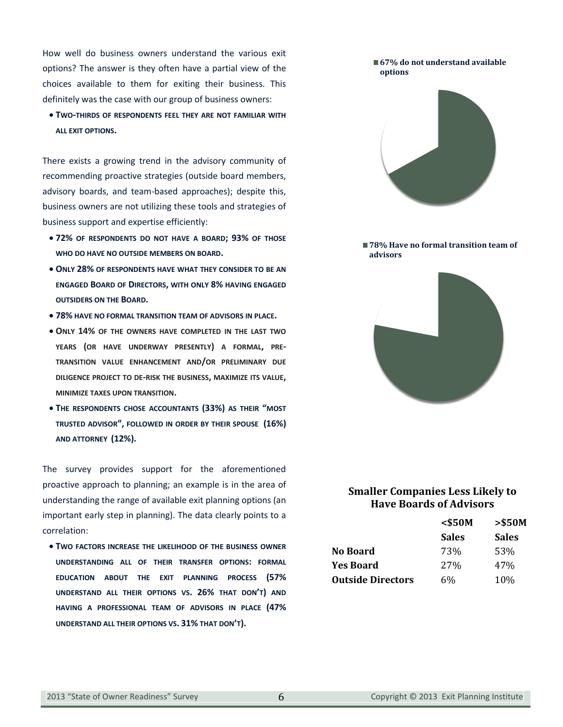How well do business owners understand the various exit options? The answer is they often have a partial view of the choices available to them for exiting their business. This definitely was the case with our group of business owners:

**• TWO-THIRDS OF RESPONDENTS FEEL THEY ARE NOT FAMILIAR WITH ALL EXIT OPTIONS.**

There exists a growing trend in the advisory community of recommending proactive strategies (outside board members, advisory boards, and team-based approaches); despite this, business owners are not utilizing these tools and strategies of business support and expertise efficiently:

- x **72% OF RESPONDENTS DO NOT HAVE A BOARD; 93% OF THOSE WHO DO HAVE NO OUTSIDE MEMBERS ON BOARD.**
- **ONLY 28% OF RESPONDENTS HAVE WHAT THEY CONSIDER TO BE AN ENGAGED BOARD OF DIRECTORS, WITH ONLY 8% HAVING ENGAGED OUTSIDERS ON THE BOARD.**
- x **78% HAVE NO FORMAL TRANSITION TEAM OF ADVISORS IN PLACE.**
- x **ONLY 14% OF THE OWNERS HAVE COMPLETED IN THE LAST TWO YEARS (OR HAVE UNDERWAY PRESENTLY) A FORMAL, PRE-TRANSITION VALUE ENHANCEMENT AND/OR PRELIMINARY DUE DILIGENCE PROJECT TO DE-RISK THE BUSINESS, MAXIMIZE ITS VALUE, MINIMIZE TAXES UPON TRANSITION.**
- x **THE RESPONDENTS CHOSE ACCOUNTANTS (33%) AS THEIR "MOST TRUSTED ADVISOR", FOLLOWED IN ORDER BY THEIR SPOUSE (16%) AND ATTORNEY (12%).**

The survey provides support for the aforementioned proactive approach to planning; an example is in the area of understanding the range of available exit planning options (an important early step in planning). The data clearly points to a correlation:

**• TWO FACTORS INCREASE THE LIKELIHOOD OF THE BUSINESS OWNER UNDERSTANDING ALL OF THEIR TRANSFER OPTIONS: FORMAL EDUCATION ABOUT THE EXIT PLANNING PROCESS (57% UNDERSTAND ALL THEIR OPTIONS VS. 26% THAT DON'T) AND HAVING A PROFESSIONAL TEAM OF ADVISORS IN PLACE (47% UNDERSTAND ALL THEIR OPTIONS VS. 31% THAT DON'T).**



■78% Have no formal transition team of **advisors**



## **Smaller Companies Less Likely to Have Boards of Advisors**

|                          | $<$ \$50M       | > \$50M      |
|--------------------------|-----------------|--------------|
|                          | <b>Sales</b>    | <b>Sales</b> |
| No Board                 | 73%             | 53%          |
| <b>Yes Board</b>         | 27 <sub>%</sub> | 47%          |
| <b>Outside Directors</b> | 6%              | 10%          |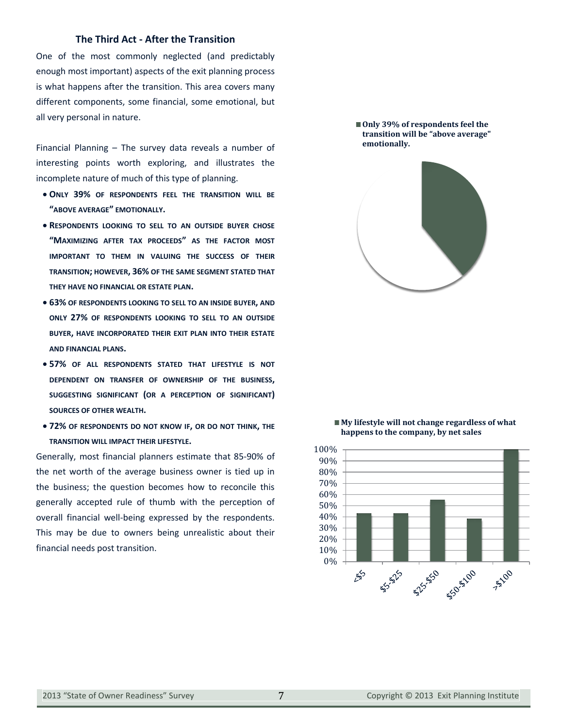### **The Third Act - After the Transition**

One of the most commonly neglected (and predictably enough most important) aspects of the exit planning process is what happens after the transition. This area covers many different components, some financial, some emotional, but all very personal in nature.

Financial Planning – The survey data reveals a number of interesting points worth exploring, and illustrates the incomplete nature of much of this type of planning.

- x **ONLY 39% OF RESPONDENTS FEEL THE TRANSITION WILL BE "ABOVE AVERAGE" EMOTIONALLY.**
- **RESPONDENTS LOOKING TO SELL TO AN OUTSIDE BUYER CHOSE "MAXIMIZING AFTER TAX PROCEEDS" AS THE FACTOR MOST IMPORTANT TO THEM IN VALUING THE SUCCESS OF THEIR TRANSITION; HOWEVER, 36% OF THE SAME SEGMENT STATED THAT THEY HAVE NO FINANCIAL OR ESTATE PLAN.**
- x **63% OF RESPONDENTS LOOKING TO SELL TO AN INSIDE BUYER, AND ONLY 27% OF RESPONDENTS LOOKING TO SELL TO AN OUTSIDE BUYER, HAVE INCORPORATED THEIR EXIT PLAN INTO THEIR ESTATE AND FINANCIAL PLANS.**
- x **57% OF ALL RESPONDENTS STATED THAT LIFESTYLE IS NOT DEPENDENT ON TRANSFER OF OWNERSHIP OF THE BUSINESS, SUGGESTING SIGNIFICANT (OR A PERCEPTION OF SIGNIFICANT) SOURCES OF OTHER WEALTH.**
- x **72% OF RESPONDENTS DO NOT KNOW IF, OR DO NOT THINK, THE TRANSITION WILL IMPACT THEIR LIFESTYLE.**

Generally, most financial planners estimate that 85-90% of the net worth of the average business owner is tied up in the business; the question becomes how to reconcile this generally accepted rule of thumb with the perception of overall financial well-being expressed by the respondents. This may be due to owners being unrealistic about their financial needs post transition.

■ Only 39% of respondents feel the **transition will be "above average" emotionally.**



#### **My lifestyle will not change regardless of what happens to the company, by net sales**

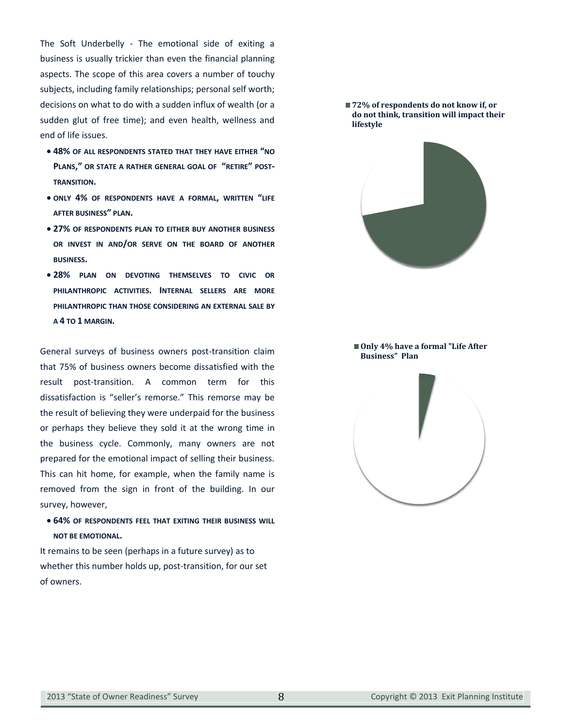The Soft Underbelly - The emotional side of exiting a business is usually trickier than even the financial planning aspects. The scope of this area covers a number of touchy subjects, including family relationships; personal self worth; decisions on what to do with a sudden influx of wealth (or a sudden glut of free time); and even health, wellness and end of life issues.

- x **48% OF ALL RESPONDENTS STATED THAT THEY HAVE EITHER "NO PLANS," OR STATE A RATHER GENERAL GOAL OF "RETIRE" POST-TRANSITION.**
- x **ONLY 4% OF RESPONDENTS HAVE A FORMAL, WRITTEN "LIFE AFTER BUSINESS" PLAN.**
- x **27% OF RESPONDENTS PLAN TO EITHER BUY ANOTHER BUSINESS OR INVEST IN AND/OR SERVE ON THE BOARD OF ANOTHER BUSINESS.**
- x **28% PLAN ON DEVOTING THEMSELVES TO CIVIC OR PHILANTHROPIC ACTIVITIES. INTERNAL SELLERS ARE MORE PHILANTHROPIC THAN THOSE CONSIDERING AN EXTERNAL SALE BY A 4 TO 1 MARGIN.**

General surveys of business owners post-transition claim that 75% of business owners become dissatisfied with the result post-transition. A common term for this dissatisfaction is "seller's remorse." This remorse may be the result of believing they were underpaid for the business or perhaps they believe they sold it at the wrong time in the business cycle. Commonly, many owners are not prepared for the emotional impact of selling their business. This can hit home, for example, when the family name is removed from the sign in front of the building. In our survey, however,

x **64% OF RESPONDENTS FEEL THAT EXITING THEIR BUSINESS WILL NOT BE EMOTIONAL.**

It remains to be seen (perhaps in a future survey) as to whether this number holds up, post-transition, for our set of owners.

#### **72% of respondents do not know if, or do not think, transition will impact their lifestyle**



#### ■ Only 4<sup>%</sup> have a formal "Life After **Business" Plan**

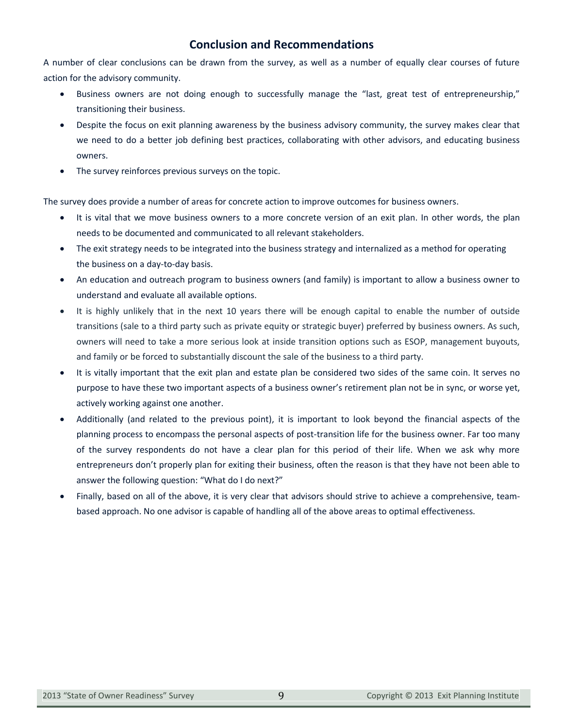# **Conclusion and Recommendations**

A number of clear conclusions can be drawn from the survey, as well as a number of equally clear courses of future action for the advisory community.

- Business owners are not doing enough to successfully manage the "last, great test of entrepreneurship," transitioning their business.
- Despite the focus on exit planning awareness by the business advisory community, the survey makes clear that we need to do a better job defining best practices, collaborating with other advisors, and educating business owners.
- The survey reinforces previous surveys on the topic.

The survey does provide a number of areas for concrete action to improve outcomes for business owners.

- It is vital that we move business owners to a more concrete version of an exit plan. In other words, the plan needs to be documented and communicated to all relevant stakeholders.
- The exit strategy needs to be integrated into the business strategy and internalized as a method for operating the business on a day-to-day basis.
- x An education and outreach program to business owners (and family) is important to allow a business owner to understand and evaluate all available options.
- It is highly unlikely that in the next 10 years there will be enough capital to enable the number of outside transitions (sale to a third party such as private equity or strategic buyer) preferred by business owners. As such, owners will need to take a more serious look at inside transition options such as ESOP, management buyouts, and family or be forced to substantially discount the sale of the business to a third party.
- It is vitally important that the exit plan and estate plan be considered two sides of the same coin. It serves no purpose to have these two important aspects of a business owner's retirement plan not be in sync, or worse yet, actively working against one another.
- x Additionally (and related to the previous point), it is important to look beyond the financial aspects of the planning process to encompass the personal aspects of post-transition life for the business owner. Far too many of the survey respondents do not have a clear plan for this period of their life. When we ask why more entrepreneurs don't properly plan for exiting their business, often the reason is that they have not been able to answer the following question: "What do I do next?"
- Finally, based on all of the above, it is very clear that advisors should strive to achieve a comprehensive, teambased approach. No one advisor is capable of handling all of the above areas to optimal effectiveness.